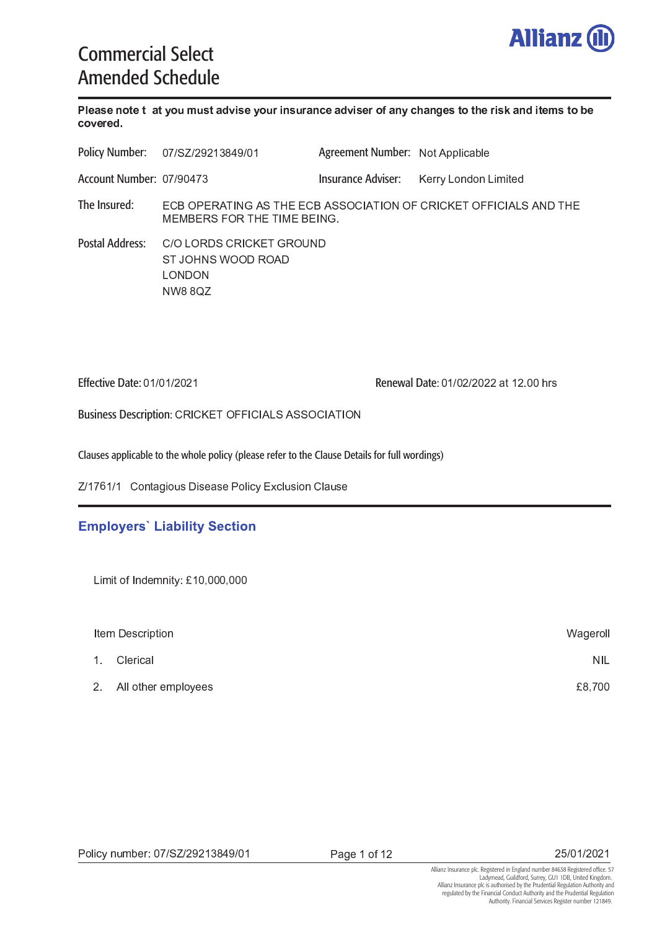

# Commercial Select Amended Schedule

 - - -  - -  - - -  - - - - 

 Agreement Number: Not Applicabl Insurance Adviser: ( ) \* <sup>+</sup> , \* - . - / <sup>0</sup> <sup>1</sup> <sup>2</sup> . \* ( / Account Number: 07/9047 3 <sup>4</sup> <sup>5</sup> <sup>6</sup> <sup>7</sup> <sup>3</sup> <sup>8</sup> " <sup>9</sup> : ! ; " <sup>+</sup> <sup>9</sup> <sup>&</sup>lt; <sup>3</sup> <sup>3</sup> <sup>4</sup> <sup>5</sup> " <sup>+</sup> <sup>+</sup> <sup>6</sup> <sup>4</sup> : " <sup>9</sup> : 6 ! <sup>6</sup> <sup>=</sup> <sup>4</sup> <sup>8</sup> : 4 <sup>3</sup> <sup>9</sup> <sup>6</sup> <sup>=</sup> <sup>=</sup> : 4 : " <sup>+</sup> " ! <sup>&</sup>gt; <sup>9</sup> <sup>&</sup>lt; <sup>3</sup> ? <sup>3</sup> ? <sup>5</sup> <sup>3</sup> <sup>8</sup> <sup>+</sup> <sup>=</sup> <sup>6</sup> <sup>8</sup> <sup>9</sup> <sup>&</sup>lt; <sup>3</sup> <sup>9</sup> : ? <sup>3</sup> <sup>5</sup> <sup>3</sup> : ! ; @ Policy Number: The Insured:  $4 + 6 + 6 = 12$   $4 + 6 = 12$   $5 + 6 = 12$   $6 = 12$ Postal Address: + <sup>9</sup> <sup>B</sup> <sup>6</sup> <sup>&</sup>lt; ! <sup>+</sup> <sup>C</sup> <sup>6</sup> <sup>6</sup> <sup>&</sup>gt; <sup>8</sup> <sup>6</sup> " <sup>&</sup>gt; . . . . . . . . . . . . . . Effective Date: 01/01/2021 Renewal Date: 01/02/2022 at 12.00 hrs

Business Description: CRICKET OFFICIALS ASSOCIATION

Clauses applicable to the whole policy (please refer to the Clause Details for full wordings)

, \* / ) <sup>H</sup> / \* / <sup>4</sup> & <sup>K</sup> <sup>L</sup> <sup>J</sup> <sup>&</sup>gt; <sup>J</sup> & <sup>J</sup> <sup>7</sup> \$ % <sup>3</sup> <sup>M</sup> % \$ <sup>L</sup> <sup>J</sup> <sup>4</sup> \$ & <sup>L</sup> <sup>J</sup>

## **Employers' Liability Section**

<sup>N</sup> : <sup>O</sup> <sup>E</sup> / ( <sup>G</sup> ( ( ( <sup>G</sup> ( ( (

| Item Description |                        | Wageroll   |
|------------------|------------------------|------------|
| $\mathbf{1}$     | Clerical               | <b>NIL</b> |
|                  | 2. All other employees | £8,700     |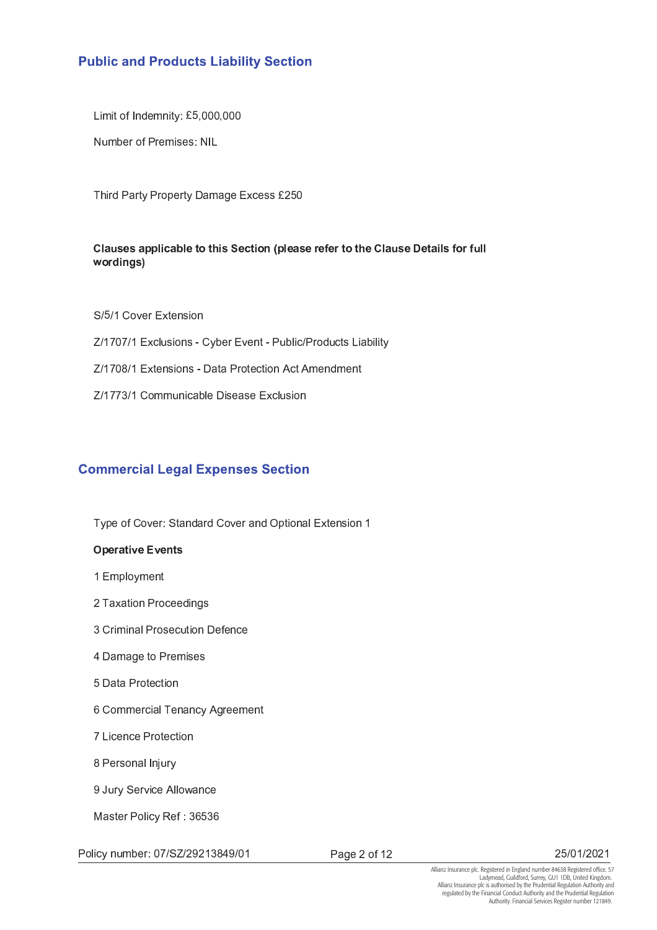# **Public and Products Liability Section**

<sup>N</sup> : <sup>O</sup> <sup>E</sup> <sup>F</sup> G ( ( ( <sup>G</sup> ( ( (

Number of Premises: NI

9 <sup>I</sup> <sup>7</sup> & <sup>7</sup> # <sup>&</sup>gt; & & <sup>K</sup> <sup>3</sup> <sup>M</sup> % <sup>J</sup> <sup>J</sup> <sup>E</sup> - <sup>F</sup> (

#### P - <sup>Q</sup> <sup>Q</sup> - <sup>R</sup> - <sup>S</sup> <sup>Q</sup> - - - - - <sup>P</sup> - <sup>T</sup> - المسلم والمسلم بن م

+ \* <sup>F</sup> \* / <sup>4</sup> <sup>W</sup> <sup>3</sup> M <sup>J</sup> Z/1707/1 Exclusions - Cvber Event - Public/Products Liabilit , \* / ) ( <sup>1</sup> \* / <sup>3</sup> M <sup>J</sup> <sup>J</sup> <sup>X</sup> <sup>&</sup>gt; & & <sup>7</sup> % " % " Z/1773/1 Communicable Disease Exclusio

# **Commercial Legal Expenses Section**

9 # <sup>N</sup> <sup>4</sup> <sup>W</sup> <sup>O</sup> + & & <sup>4</sup> <sup>W</sup> & <sup>6</sup> # & \$ <sup>3</sup> M <sup>J</sup> /

#### Y Q - - <sup>Z</sup> -

- / <sup>3</sup> # \$
- 9  $\sim$  9  $\sim$  9  $\sim$  9  $\sim$  9  $\sim$  9  $\sim$  9  $\sim$  9  $\sim$  9  $\sim$  9  $\sim$  9  $\sim$  9  $\sim$  9  $\sim$  9  $\sim$  9  $\sim$  9  $\sim$  9  $\sim$  9  $\sim$  9  $\sim$  9  $\sim$  9  $\sim$  9  $\sim$  9  $\sim$  9  $\sim$  9  $\sim$  9  $\sim$  9  $\sim$  9  $\sim$  9  $\sim$  9  $\sim$  9  $\sim$  9  $\$
- 0 <sup>4</sup> & \$ <sup>7</sup> <sup>J</sup> % <sup>L</sup> <sup>&</sup>gt; <sup>N</sup> %
- 2 <sup>&</sup>gt; & & <sup>K</sup> <sup>7</sup> <sup>J</sup> <sup>J</sup>
- F <sup>&</sup>gt; & & <sup>7</sup> %
- $\bullet$  . A set of  $\bullet$  ,  $\bullet$  ,  $\bullet$  ,  $\bullet$  ,  $\bullet$  ,  $\bullet$  ,  $\bullet$  ,  $\bullet$  ,  $\bullet$  ,  $\bullet$  ,  $\bullet$  ,  $\bullet$  ,  $\bullet$  ,  $\bullet$  ,  $\bullet$  ,  $\bullet$  ,  $\bullet$  ,  $\bullet$  ,  $\bullet$  ,  $\bullet$  ,  $\bullet$  ,  $\bullet$  ,  $\bullet$  ,  $\bullet$  ,  $\bullet$  ,  $\bullet$  ,  $\bullet$  ,  $\bullet$  ,  $\bullet$  ,  $\$
- ) % % <sup>7</sup> %
- 1 <sup>7</sup> <sup>J</sup> & \$ : [ <sup>L</sup>
- $\blacksquare$  . B  $\blacksquare$  . B  $\blacksquare$  . B  $\blacksquare$  . B  $\blacksquare$

? & J <sup>7</sup> \$ % <sup>8</sup> <sup>N</sup> <sup>O</sup> <sup>0</sup> <sup>H</sup> <sup>F</sup> <sup>0</sup> <sup>H</sup>

Policy number: 07/SZ/29213849/0

7 & <sup>K</sup> - <sup>N</sup> / -

 $\sim$   $\sim$   $\sim$   $\sim$   $\sim$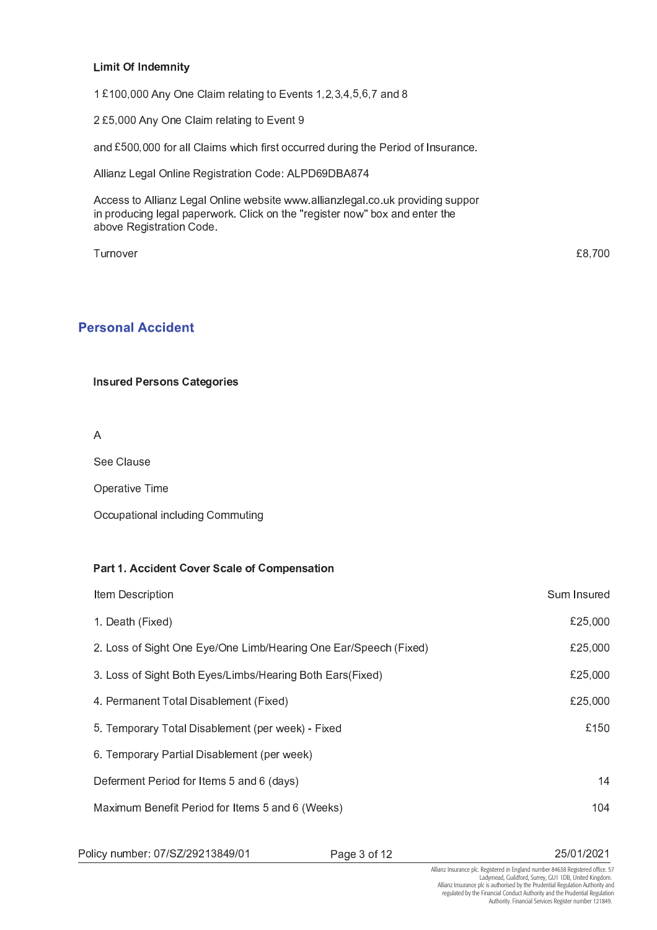#### ] <sup>Y</sup> ^  -

/ E / ( ( <sup>G</sup> ( ( ( " <sup>6</sup> <sup>4</sup> \$ & \$ & K <sup>3</sup> <sup>W</sup> <sup>J</sup> / <sup>G</sup> - <sup>G</sup> <sup>0</sup> <sup>G</sup> <sup>2</sup> <sup>G</sup> <sup>F</sup> G <sup>H</sup> G ) & <sup>1</sup>

- <sup>E</sup> <sup>F</sup> G ( ( ( " <sup>6</sup> <sup>4</sup> \$ & \$ & K <sup>3</sup> <sup>W</sup> .

 $\mathcal{L} = \mathcal{L} = \mathcal{L} = \mathcal{L} = \mathcal{L} = \mathcal{L} = \mathcal{L} = \mathcal{L} = \mathcal{L} = \mathcal{L} = \mathcal{L} = \mathcal{L} = \mathcal{L} = \mathcal{L} = \mathcal{L} = \mathcal{L} = \mathcal{L} = \mathcal{L} = \mathcal{L} = \mathcal{L} = \mathcal{L} = \mathcal{L} = \mathcal{L} = \mathcal{L} = \mathcal{L} = \mathcal{L} = \mathcal{L} = \mathcal{L} = \mathcal{L} = \mathcal{L} = \mathcal{L} = \mathcal$ 

" \$ \$ & \_ <sup>K</sup> & \$ <sup>6</sup> \$ <sup>8</sup> <sup>K</sup> J & <sup>4</sup> <sup>O</sup> " <sup>7</sup> <sup>&</sup>gt; H . <sup>&</sup>gt; <sup>5</sup> " <sup>1</sup> ) <sup>2</sup>

Access to Allianz Legal Online website www.allianzlegal.co.uk providing suppo in producing legal paperwork. Click on the "register now" box and enter th above Registration Code

 <sup>9</sup><sup>L</sup> <sup>W</sup> <sup>1</sup> <sup>G</sup> ) ( (

£8,700

## **Personal Accident**

^ -  - <sup>P</sup> - -

+ <sup>4</sup> \$ & <sup>L</sup> <sup>J</sup>

6 # & <sup>W</sup> <sup>9</sup>

6 % % <sup>L</sup> # & & \$ % \$ <sup>L</sup> <sup>K</sup> <sup>4</sup> <sup>L</sup> <sup>K</sup>

#### <sup>b</sup> <sup>c</sup>  - <sup>P</sup> - <sup>R</sup> - <sup>P</sup> <sup>Q</sup> -

| Item Description                                                 | Sum Insured |
|------------------------------------------------------------------|-------------|
| 1. Death (Fixed)                                                 | £25,000     |
| 2. Loss of Sight One Eye/One Limb/Hearing One Ear/Speech (Fixed) | £25,000     |
| 3. Loss of Sight Both Eyes/Limbs/Hearing Both Ears(Fixed)        | £25,000     |
| 4. Permanent Total Disablement (Fixed)                           | £25,000     |
| 5. Temporary Total Disablement (per week) - Fixed                | £150        |
| 6. Temporary Partial Disablement (per week)                      |             |
| Deferment Period for Items 5 and 6 (days)                        | 14          |
| Maximum Benefit Period for Items 5 and 6 (Weeks)                 | 104         |
|                                                                  |             |

Policy number: 07/SZ/29213849/0

7 & <sup>K</sup> <sup>0</sup> <sup>N</sup> / -

 $\sim$   $\sim$   $\sim$   $\sim$   $\sim$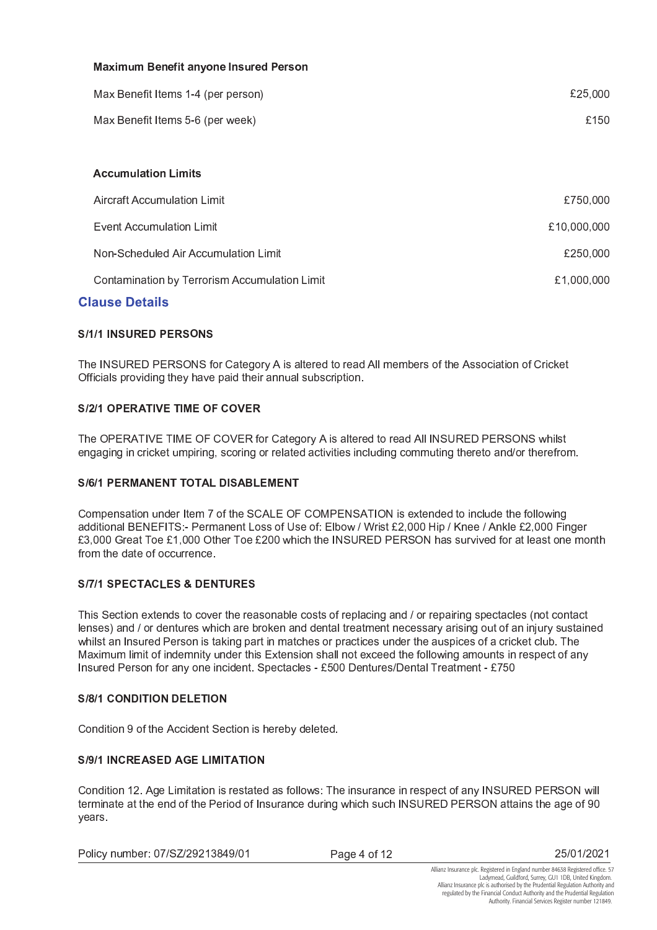| <b>Maximum Benefit anyone Insured Person</b>  |             |  |
|-----------------------------------------------|-------------|--|
| Max Benefit Items 1-4 (per person)            | £25,000     |  |
| Max Benefit Items 5-6 (per week)              | £150        |  |
|                                               |             |  |
| <b>Accumulation Limits</b>                    |             |  |
| <b>Aircraft Accumulation Limit</b>            | £750,000    |  |
| <b>Event Accumulation Limit</b>               | £10,000,000 |  |
| Non-Scheduled Air Accumulation Limit          | £250,000    |  |
| Contamination by Terrorism Accumulation Limit | £1,000,000  |  |
|                                               |             |  |

## **Clause Details**

#### **S/1/1 INSURED PERSONS**

The INSURED PERSONS for Category A is altered to read All members of the Association of Cricket Officials providing they have paid their annual subscription.

#### **S/2/1 OPERATIVE TIME OF COVER**

The OPERATIVE TIME OF COVER for Category A is altered to read All INSURED PERSONS whilst engaging in cricket umpiring, scoring or related activities including commuting thereto and/or therefrom.

#### **S/6/1 PERMANENT TOTAL DISABLEMENT**

Compensation under Item 7 of the SCALE OF COMPENSATION is extended to include the following additional BENEFITS:- Permanent Loss of Use of: Elbow / Wrist £2,000 Hip / Knee / Ankle £2,000 Finger £3,000 Great Toe £1,000 Other Toe £200 which the INSURED PERSON has survived for at least one month from the date of occurrence.

#### **S/7/1 SPECTACLES & DENTURES**

This Section extends to cover the reasonable costs of replacing and / or repairing spectacles (not contact lenses) and / or dentures which are broken and dental treatment necessary arising out of an injury sustained whilst an Insured Person is taking part in matches or practices under the auspices of a cricket club. The Maximum limit of indemnity under this Extension shall not exceed the following amounts in respect of any Insured Person for any one incident. Spectacles - £500 Dentures/Dental Treatment - £750

#### **S/8/1 CONDITION DELETION**

Condition 9 of the Accident Section is hereby deleted.

#### **S/9/1 INCREASED AGE LIMITATION**

Condition 12. Age Limitation is restated as follows: The insurance in respect of any INSURED PERSON will terminate at the end of the Period of Insurance during which such INSURED PERSON attains the age of 90 years.

Policy number: 07/SZ/29213849/01

Page 4 of 12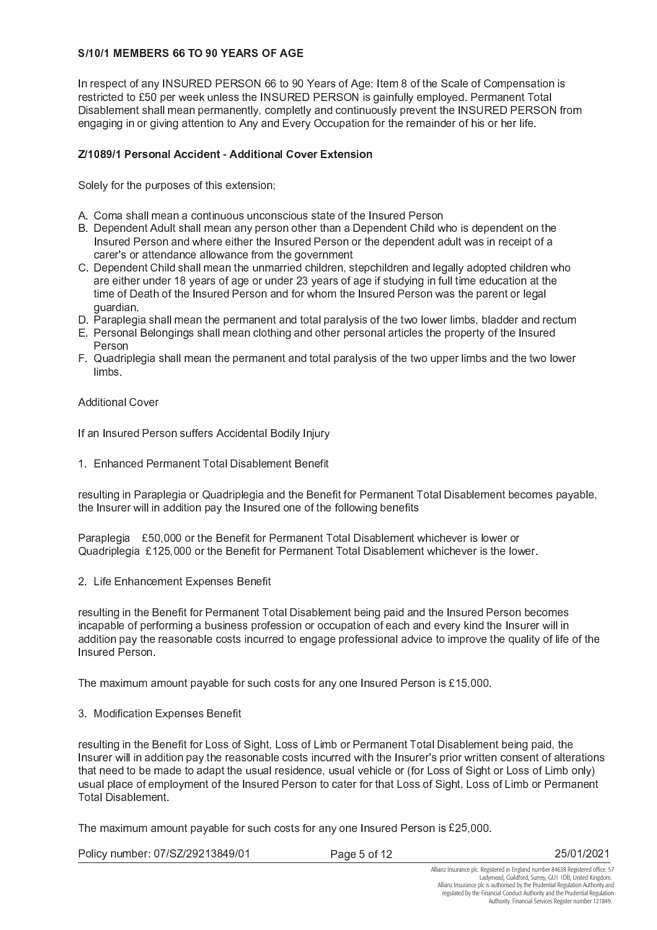#### S/10/1 MEMBERS 66 TO 90 YEARS OF AGE

In respect of any INSURED PERSON 66 to 90 Years of Age: Item 8 of the Scale of Compensation is restricted to £50 per week unless the INSURED PERSON is gainfully employed. Permanent Total Disablement shall mean permanently, completly and continuously prevent the INSURED PERSON from engaging in or giving attention to Any and Every Occupation for the remainder of his or her life.

#### Z/1089/1 Personal Accident - Additional Cover Extension

Solely for the purposes of this extension;

- A. Coma shall mean a continuous unconscious state of the Insured Person
- B. Dependent Adult shall mean any person other than a Dependent Child who is dependent on the Insured Person and where either the Insured Person or the dependent adult was in receipt of a carer's or attendance allowance from the government
- C. Dependent Child shall mean the unmarried children, stepchildren and legally adopted children who are either under 18 years of age or under 23 years of age if studying in full time education at the time of Death of the Insured Person and for whom the Insured Person was the parent or legal quardian.
- D. Paraplegia shall mean the permanent and total paralysis of the two lower limbs, bladder and rectum
- E. Personal Belongings shall mean clothing and other personal articles the property of the Insured Person
- F. Quadriplegia shall mean the permanent and total paralysis of the two upper limbs and the two lower limbs.

**Additional Cover** 

If an Insured Person suffers Accidental Bodily Injury

1. Enhanced Permanent Total Disablement Benefit

resulting in Paraplegia or Quadriplegia and the Benefit for Permanent Total Disablement becomes payable, the Insurer will in addition pay the Insured one of the following benefits

Paraplegia £50,000 or the Benefit for Permanent Total Disablement whichever is lower or Quadriplegia £125,000 or the Benefit for Permanent Total Disablement whichever is the lower.

2. Life Enhancement Expenses Benefit

resulting in the Benefit for Permanent Total Disablement being paid and the Insured Person becomes incapable of performing a business profession or occupation of each and every kind the Insurer will in addition pay the reasonable costs incurred to engage professional advice to improve the quality of life of the Insured Person.

The maximum amount payable for such costs for any one Insured Person is £15,000.

#### 3. Modification Expenses Benefit

resulting in the Benefit for Loss of Sight, Loss of Limb or Permanent Total Disablement being paid, the Insurer will in addition pay the reasonable costs incurred with the Insurer's prior written consent of alterations that need to be made to adapt the usual residence, usual vehicle or (for Loss of Sight or Loss of Limb only) usual place of employment of the Insured Person to cater for that Loss of Sight, Loss of Limb or Permanent **Total Disablement** 

The maximum amount payable for such costs for any one Insured Person is £25,000.

| Policy number: 07/SZ/29213849/01 |  |
|----------------------------------|--|
|----------------------------------|--|

Page 5 of 12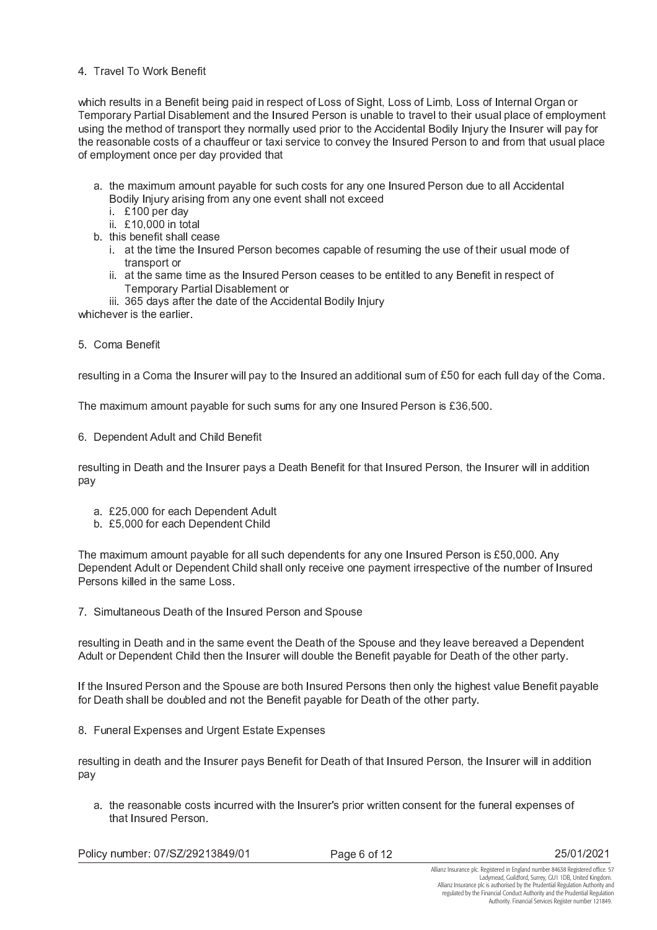#### 4 Travel To Work Benefit

which results in a Benefit being paid in respect of Loss of Sight, Loss of Limb, Loss of Internal Organ or Temporary Partial Disablement and the Insured Person is unable to travel to their usual place of employment using the method of transport they normally used prior to the Accidental Bodily Injury the Insurer will pay for the reasonable costs of a chauffeur or taxi service to convey the Insured Person to and from that usual place of employment once per day provided that

- a. the maximum amount payable for such costs for any one Insured Person due to all Accidental Bodily Injury arising from any one event shall not exceed
	- i £100 per day
	- ii £10,000 in total
- b. this benefit shall cease
	- i. at the time the Insured Person becomes capable of resuming the use of their usual mode of transport or
	- ii. at the same time as the Insured Person ceases to be entitled to any Benefit in respect of Temporary Partial Disablement or
- iii. 365 days after the date of the Accidental Bodily Injury

whichever is the earlier.

5. Coma Benefit

resulting in a Coma the Insurer will pay to the Insured an additional sum of £50 for each full day of the Coma.

The maximum amount payable for such sums for any one Insured Person is £36,500.

6. Dependent Adult and Child Benefit

resulting in Death and the Insurer pays a Death Benefit for that Insured Person, the Insurer will in addition nav

- a. £25,000 for each Dependent Adult
- b. £5,000 for each Dependent Child

The maximum amount payable for all such dependents for any one Insured Person is £50,000. Any Dependent Adult or Dependent Child shall only receive one payment irrespective of the number of Insured Persons killed in the same Loss.

7. Simultaneous Death of the Insured Person and Spouse

resulting in Death and in the same event the Death of the Spouse and they leave bereaved a Dependent Adult or Dependent Child then the Insurer will double the Benefit payable for Death of the other party.

If the Insured Person and the Spouse are both Insured Persons then only the highest value Benefit payable for Death shall be doubled and not the Benefit payable for Death of the other party.

8. Funeral Expenses and Urgent Estate Expenses

resulting in death and the Insurer pays Benefit for Death of that Insured Person, the Insurer will in addition pay

a. the reasonable costs incurred with the Insurer's prior written consent for the funeral expenses of that Insured Person.

Policy number: 07/SZ/29213849/01

Page 6 of 12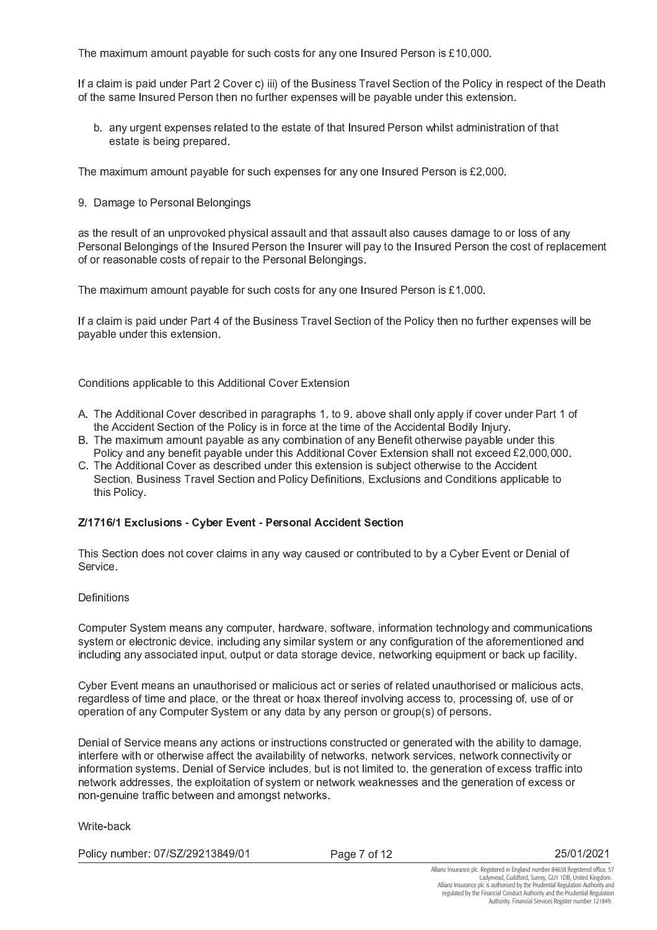The maximum amount payable for such costs for any one Insured Person is £10,000.

If a claim is paid under Part 2 Cover c) iii) of the Business Travel Section of the Policy in respect of the Death of the same Insured Person then no further expenses will be payable under this extension.

b. any urgent expenses related to the estate of that Insured Person whilst administration of that estate is being prepared.

The maximum amount payable for such expenses for any one Insured Person is £2,000.

9. Damage to Personal Belongings

as the result of an unprovoked physical assault and that assault also causes damage to or loss of any Personal Belongings of the Insured Person the Insurer will pay to the Insured Person the cost of replacement of or reasonable costs of repair to the Personal Belongings.

The maximum amount payable for such costs for any one Insured Person is  $£1,000$ .

If a claim is paid under Part 4 of the Business Travel Section of the Policy then no further expenses will be pavable under this extension.

Conditions applicable to this Additional Cover Extension

- A. The Additional Cover described in paragraphs 1. to 9. above shall only apply if cover under Part 1 of the Accident Section of the Policy is in force at the time of the Accidental Bodily Injury.
- B. The maximum amount payable as any combination of any Benefit otherwise payable under this Policy and any benefit payable under this Additional Cover Extension shall not exceed £2,000,000.
- C. The Additional Cover as described under this extension is subject otherwise to the Accident Section, Business Travel Section and Policy Definitions, Exclusions and Conditions applicable to this Policy

#### Z/1716/1 Exclusions - Cyber Event - Personal Accident Section

This Section does not cover claims in any way caused or contributed to by a Cyber Event or Denial of Service.

#### Definitions

Computer System means any computer, hardware, software, information technology and communications system or electronic device, including any similar system or any configuration of the aforementioned and including any associated input, output or data storage device, networking equipment or back up facility.

Cyber Event means an unauthorised or malicious act or series of related unauthorised or malicious acts, regardless of time and place, or the threat or hoax thereof involving access to, processing of, use of or operation of any Computer System or any data by any person or group(s) of persons.

Denial of Service means any actions or instructions constructed or generated with the ability to damage, interfere with or otherwise affect the availability of networks, network services, network connectivity or information systems. Denial of Service includes, but is not limited to, the generation of excess traffic into network addresses, the exploitation of system or network weaknesses and the generation of excess or non-genuine traffic between and amongst networks.

Write-back

Policy number: 07/SZ/29213849/01

Page 7 of 12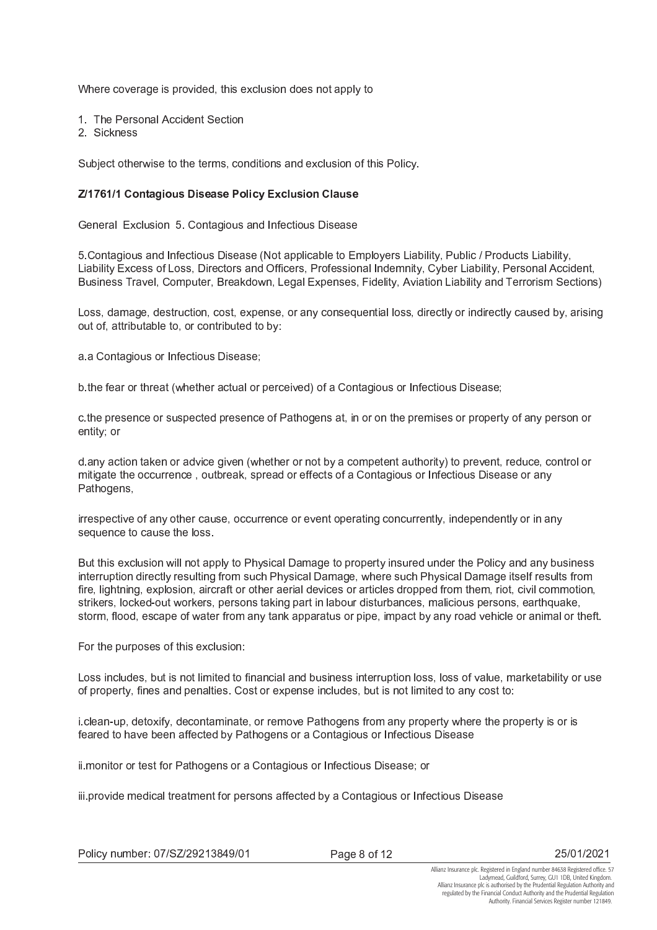Where coverage is provided, this exclusion does not apply to

- 1. The Personal Accident Section
- 2 Sickness

Subject otherwise to the terms, conditions and exclusion of this Policy.

#### Z/1761/1 Contagious Disease Policy Exclusion Clause

General Exclusion 5. Contagious and Infectious Disease

5. Contagious and Infectious Disease (Not applicable to Employers Liability, Public / Products Liability, Liability Excess of Loss, Directors and Officers, Professional Indemnity, Cyber Liability, Personal Accident, Business Travel, Computer, Breakdown, Legal Expenses, Fidelity, Aviation Liability and Terrorism Sections)

Loss, damage, destruction, cost, expense, or any consequential loss, directly or indirectly caused by, arising out of, attributable to, or contributed to by:

a a Contagious or Infectious Disease;

b the fear or threat (whether actual or perceived) of a Contagious or Infectious Disease;

c.the presence or suspected presence of Pathogens at, in or on the premises or property of any person or entity; or

d.any action taken or advice given (whether or not by a competent authority) to prevent, reduce, control or mitigate the occurrence, outbreak, spread or effects of a Contagious or Infectious Disease or any Pathogens,

irrespective of any other cause, occurrence or event operating concurrently, independently or in any sequence to cause the loss.

But this exclusion will not apply to Physical Damage to property insured under the Policy and any business interruption directly resulting from such Physical Damage, where such Physical Damage itself results from fire, lightning, explosion, aircraft or other aerial devices or articles dropped from them, riot, civil commotion, strikers, locked-out workers, persons taking part in labour disturbances, malicious persons, earthquake, storm, flood, escape of water from any tank apparatus or pipe, impact by any road vehicle or animal or theft.

For the purposes of this exclusion:

Loss includes, but is not limited to financial and business interruption loss, loss of value, marketability or use of property, fines and penalties. Cost or expense includes, but is not limited to any cost to:

i clean-up, detoxify, decontaminate, or remove Pathogens from any property where the property is or is feared to have been affected by Pathogens or a Contagious or Infectious Disease

ii.monitor or test for Pathogens or a Contagious or Infectious Disease; or

iii provide medical treatment for persons affected by a Contagious or Infectious Disease

Page 8 of 12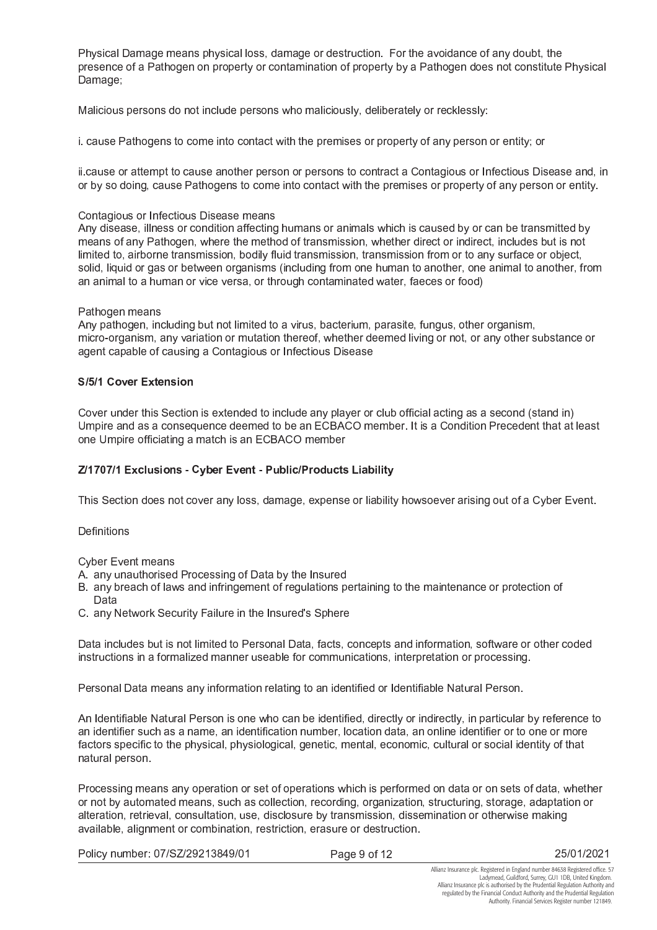Physical Damage means physical loss, damage or destruction. For the avoidance of any doubt, the presence of a Pathogen on property or contamination of property by a Pathogen does not constitute Physical Damage;

Malicious persons do not include persons who maliciously, deliberately or recklessly:

i. cause Pathogens to come into contact with the premises or property of any person or entity; or

ii cause or attempt to cause another person or persons to contract a Contagious or Infectious Disease and, in or by so doing, cause Pathogens to come into contact with the premises or property of any person or entity.

#### Contagious or Infectious Disease means

Any disease, illness or condition affecting humans or animals which is caused by or can be transmitted by means of any Pathogen, where the method of transmission, whether direct or indirect, includes but is not limited to, airborne transmission, bodily fluid transmission, transmission from or to any surface or object, solid, liquid or gas or between organisms (including from one human to another, one animal to another, from an animal to a human or vice versa, or through contaminated water, faeces or food)

#### Pathogen means

Any pathogen, including but not limited to a virus, bacterium, parasite, fungus, other organism, micro-organism, any variation or mutation thereof, whether deemed living or not, or any other substance or agent capable of causing a Contagious or Infectious Disease

#### S/5/1 Cover Extension

Cover under this Section is extended to include any player or club official acting as a second (stand in) Umpire and as a consequence deemed to be an ECBACO member. It is a Condition Precedent that at least one Umpire officiating a match is an ECBACO member

#### Z/1707/1 Exclusions - Cyber Event - Public/Products Liability

This Section does not cover any loss, damage, expense or liability howsoever arising out of a Cyber Event.

Definitions

**Cyber Event means** 

- A. any unauthorised Processing of Data by the Insured
- B. any breach of laws and infringement of regulations pertaining to the maintenance or protection of Data
- C. any Network Security Failure in the Insured's Sphere

Data includes but is not limited to Personal Data, facts, concepts and information, software or other coded instructions in a formalized manner useable for communications, interpretation or processing.

Personal Data means any information relating to an identified or Identifiable Natural Person.

An Identifiable Natural Person is one who can be identified, directly or indirectly, in particular by reference to an identifier such as a name, an identification number, location data, an online identifier or to one or more factors specific to the physical, physiological, genetic, mental, economic, cultural or social identity of that natural person.

Processing means any operation or set of operations which is performed on data or on sets of data, whether or not by automated means, such as collection, recording, organization, structuring, storage, adaptation or alteration, retrieval, consultation, use, disclosure by transmission, dissemination or otherwise making available, alignment or combination, restriction, erasure or destruction.

Policy number: 07/SZ/29213849/01

Page 9 of 12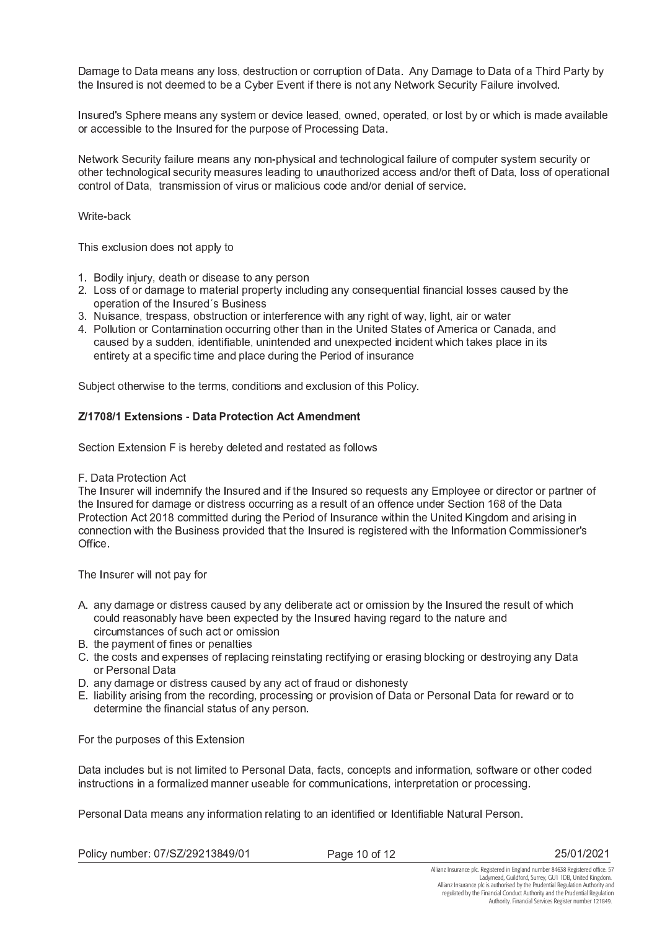Damage to Data means any loss, destruction or corruption of Data. Any Damage to Data of a Third Party by the Insured is not deemed to be a Cyber Event if there is not any Network Security Failure involved.

Insured's Sphere means any system or device leased, owned, operated, or lost by or which is made available or accessible to the Insured for the purpose of Processing Data.

Network Security failure means any non-physical and technological failure of computer system security or other technological security measures leading to unauthorized access and/or theft of Data, loss of operational control of Data, transmission of virus or malicious code and/or denial of service.

Write-back

This exclusion does not apply to

- 1. Bodily injury, death or disease to any person
- 2. Loss of or damage to material property including any consequential financial losses caused by the operation of the Insured's Business
- 3. Nuisance, trespass, obstruction or interference with any right of way, light, air or water
- 4. Pollution or Contamination occurring other than in the United States of America or Canada, and caused by a sudden, identifiable, unintended and unexpected incident which takes place in its entirety at a specific time and place during the Period of insurance

Subject otherwise to the terms, conditions and exclusion of this Policy.

#### Z/1708/1 Extensions - Data Protection Act Amendment

Section Extension F is hereby deleted and restated as follows

F. Data Protection Act

The Insurer will indemnify the Insured and if the Insured so requests any Employee or director or partner of the Insured for damage or distress occurring as a result of an offence under Section 168 of the Data Protection Act 2018 committed during the Period of Insurance within the United Kingdom and arising in connection with the Business provided that the Insured is registered with the Information Commissioner's Office.

The Insurer will not pay for

- A. any damage or distress caused by any deliberate act or omission by the Insured the result of which could reasonably have been expected by the Insured having regard to the nature and circumstances of such act or omission
- B. the payment of fines or penalties
- C. the costs and expenses of replacing reinstating rectifying or erasing blocking or destroying any Data or Personal Data
- D. any damage or distress caused by any act of fraud or dishonesty
- E. liability arising from the recording, processing or provision of Data or Personal Data for reward or to determine the financial status of any person.

For the purposes of this Extension

Data includes but is not limited to Personal Data, facts, concepts and information, software or other coded instructions in a formalized manner useable for communications, interpretation or processing.

Personal Data means any information relating to an identified or Identifiable Natural Person.

Policy number: 07/SZ/29213849/01

Page 10 of 12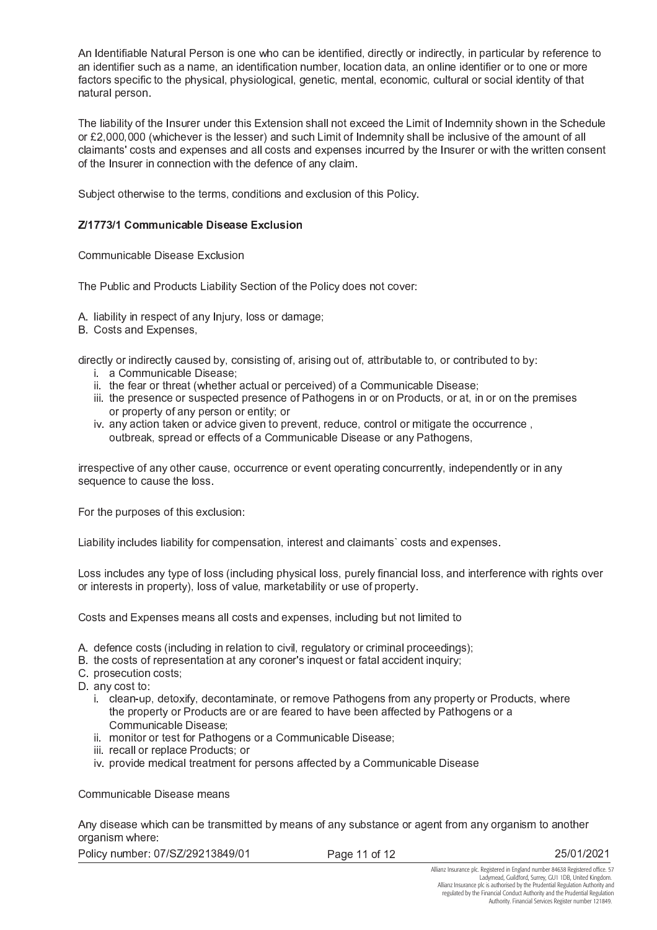An Identifiable Natural Person is one who can be identified, directly or indirectly, in particular by reference to an identifier such as a name, an identification number, location data, an online identifier or to one or more factors specific to the physical, physiological, genetic, mental, economic, cultural or social identity of that natural person.

The liability of the Insurer under this Extension shall not exceed the Limit of Indemnity shown in the Schedule or £2,000,000 (whichever is the lesser) and such Limit of Indemnity shall be inclusive of the amount of all claimants' costs and expenses and all costs and expenses incurred by the Insurer or with the written consent of the Insurer in connection with the defence of any claim.

Subject otherwise to the terms, conditions and exclusion of this Policy.

#### Z/1773/1 Communicable Disease Exclusion

#### Communicable Disease Exclusion

The Public and Products Liability Section of the Policy does not cover:

A. liability in respect of any Injury, loss or damage;

B. Costs and Expenses,

directly or indirectly caused by, consisting of, arising out of, attributable to, or contributed to by:

- *i.* a Communicable Disease:
- ii. the fear or threat (whether actual or perceived) of a Communicable Disease;
- iii. the presence or suspected presence of Pathogens in or on Products, or at, in or on the premises or property of any person or entity; or
- iv. any action taken or advice given to prevent, reduce, control or mitigate the occurrence, outbreak, spread or effects of a Communicable Disease or any Pathogens,

irrespective of any other cause, occurrence or event operating concurrently, independently or in any sequence to cause the loss.

For the purposes of this exclusion:

Liability includes liability for compensation, interest and claimants' costs and expenses.

Loss includes any type of loss (including physical loss, purely financial loss, and interference with rights over or interests in property), loss of value, marketability or use of property.

Costs and Expenses means all costs and expenses, including but not limited to

- A. defence costs (including in relation to civil, regulatory or criminal proceedings);
- B. the costs of representation at any coroner's inquest or fatal accident inquiry;
- C prosecution costs;
- D. any cost to:
	- i. clean-up, detoxify, decontaminate, or remove Pathogens from any property or Products, where the property or Products are or are feared to have been affected by Pathogens or a Communicable Disease:
	- ii. monitor or test for Pathogens or a Communicable Disease;
	- iii. recall or replace Products; or
	- iv. provide medical treatment for persons affected by a Communicable Disease

Communicable Disease means

Any disease which can be transmitted by means of any substance or agent from any organism to another organism where:

Policy number: 07/SZ/29213849/01

Page 11 of 12